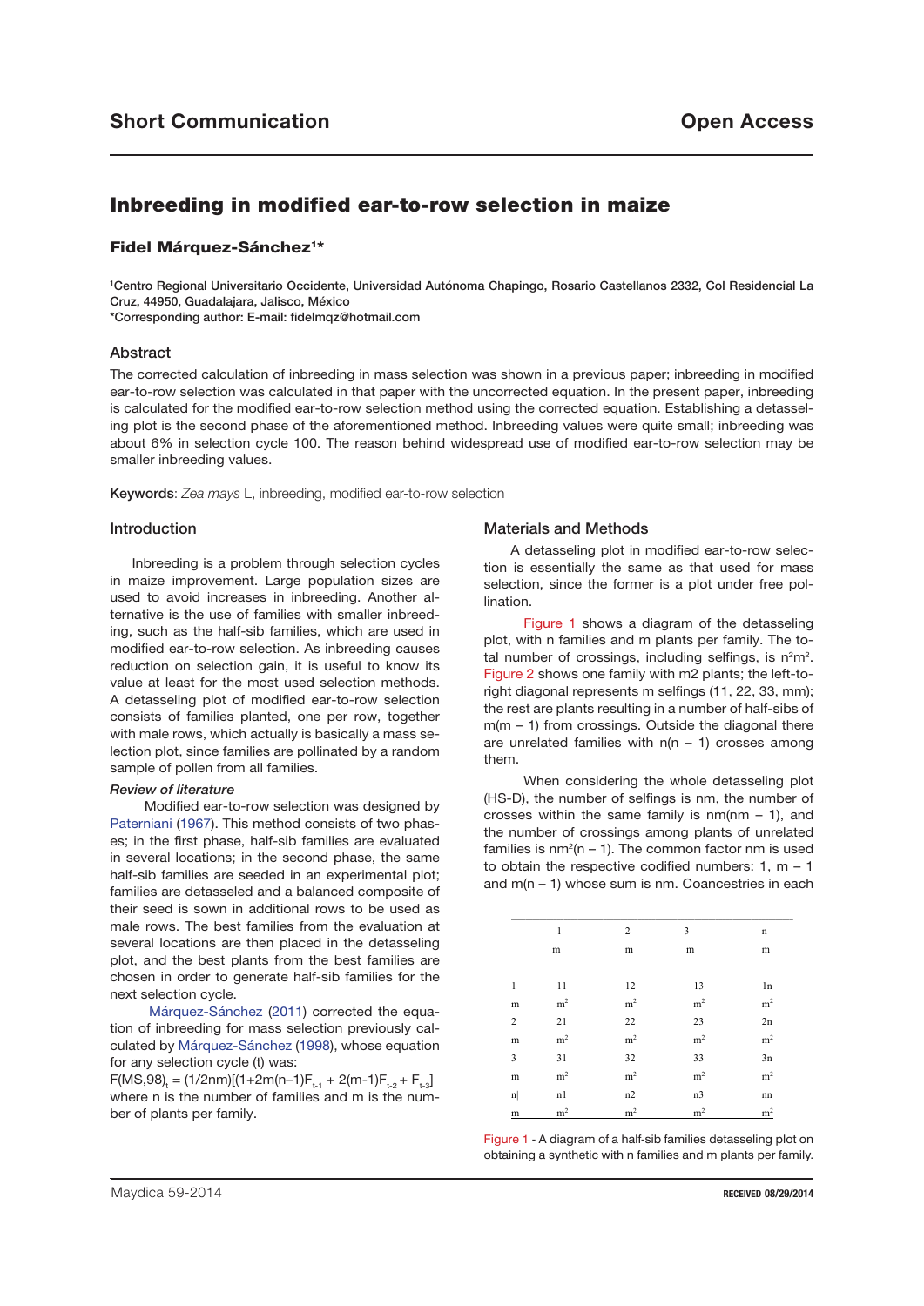# Inbreeding in modified ear-to-row selection in maize

# Fidel Márquez-Sánchez<sup>1\*</sup>

1 Centro Regional Universitario Occidente, Universidad Autónoma Chapingo, Rosario Castellanos 2332, Col Residencial La Cruz, 44950, Guadalajara, Jalisco, México \*Corresponding author: E-mail: fidelmqz@hotmail.com

Abstract

The corrected calculation of inbreeding in mass selection was shown in a previous paper; inbreeding in modified ear-to-row selection was calculated in that paper with the uncorrected equation. In the present paper, inbreeding is calculated for the modified ear-to-row selection method using the corrected equation. Establishing a detasseling plot is the second phase of the aforementioned method. Inbreeding values were quite small; inbreeding was about 6% in selection cycle 100. The reason behind widespread use of modified ear-to-row selection may be smaller inbreeding values.

Keywords: *Zea mays* L, inbreeding, modified ear-to-row selection

### Introduction

Inbreeding is a problem through selection cycles in maize improvement. Large population sizes are used to avoid increases in inbreeding. Another alternative is the use of families with smaller inbreeding, such as the half-sib families, which are used in modified ear-to-row selection. As inbreeding causes reduction on selection gain, it is useful to know its value at least for the most used selection methods. A detasseling plot of modified ear-to-row selection consists of families planted, one per row, together with male rows, which actually is basically a mass selection plot, since families are pollinated by a random sample of pollen from all families.

#### *Review of literature*

 Modified ear-to-row selection was designed by Paterniani (1967). This method consists of two phases; in the first phase, half-sib families are evaluated in several locations; in the second phase, the same half-sib families are seeded in an experimental plot; families are detasseled and a balanced composite of their seed is sown in additional rows to be used as male rows. The best families from the evaluation at several locations are then placed in the detasseling plot, and the best plants from the best families are chosen in order to generate half-sib families for the next selection cycle.

 Márquez-Sánchez (2011) corrected the equation of inbreeding for mass selection previously calculated by Márquez-Sánchez (1998), whose equation for any selection cycle (t) was:

 $F(MS,98)_{t} = (1/2nm)[(1+2m(n-1)F_{t-1} + 2(m-1)F_{t-2} + F_{t-3}]$ where n is the number of families and m is the number of plants per family.

### Materials and Methods

 A detasseling plot in modified ear-to-row selection is essentially the same as that used for mass selection, since the former is a plot under free pollination.

 Figure 1 shows a diagram of the detasseling plot, with n families and m plants per family. The total number of crossings, including selfings, is  $n^2m^2$ . Figure 2 shows one family with m2 plants; the left-toright diagonal represents m selfings (11, 22, 33, mm); the rest are plants resulting in a number of half-sibs of  $m(m - 1)$  from crossings. Outside the diagonal there are unrelated families with  $n(n - 1)$  crosses among them.

 When considering the whole detasseling plot (HS-D), the number of selfings is nm, the number of crosses within the same family is  $nm(nm - 1)$ , and the number of crossings among plants of unrelated families is  $nm^2(n - 1)$ . The common factor nm is used to obtain the respective codified numbers:  $1, m - 1$ and m(n – 1) whose sum is nm. Coancestries in each

|                         | 1              | 2              | 3              | n              |
|-------------------------|----------------|----------------|----------------|----------------|
|                         | ${\rm m}$      | ${\rm m}$      | m              | ${\rm m}$      |
|                         |                |                |                |                |
| 1                       | 11             | 12             | 13             | 1n             |
| m                       | m <sup>2</sup> | $\rm m^2$      | $\rm m^2$      | $\rm m^2$      |
| $\overline{c}$          | 21             | 22             | 23             | 2n             |
| m                       | m <sup>2</sup> | m <sup>2</sup> | m <sup>2</sup> | m <sup>2</sup> |
| $\overline{\mathbf{3}}$ | 31             | 32             | 33             | 3n             |
| m                       | m <sup>2</sup> | m <sup>2</sup> | m <sup>2</sup> | m <sup>2</sup> |
| $\mathbf{n}$            | n1             | n2             | n3             | nn             |
| ${\rm m}$               | m <sup>2</sup> | m <sup>2</sup> | m <sup>2</sup> | m <sup>2</sup> |

Figure 1 - A diagram of a half-sib families detasseling plot on obtaining a synthetic with n families and m plants per family.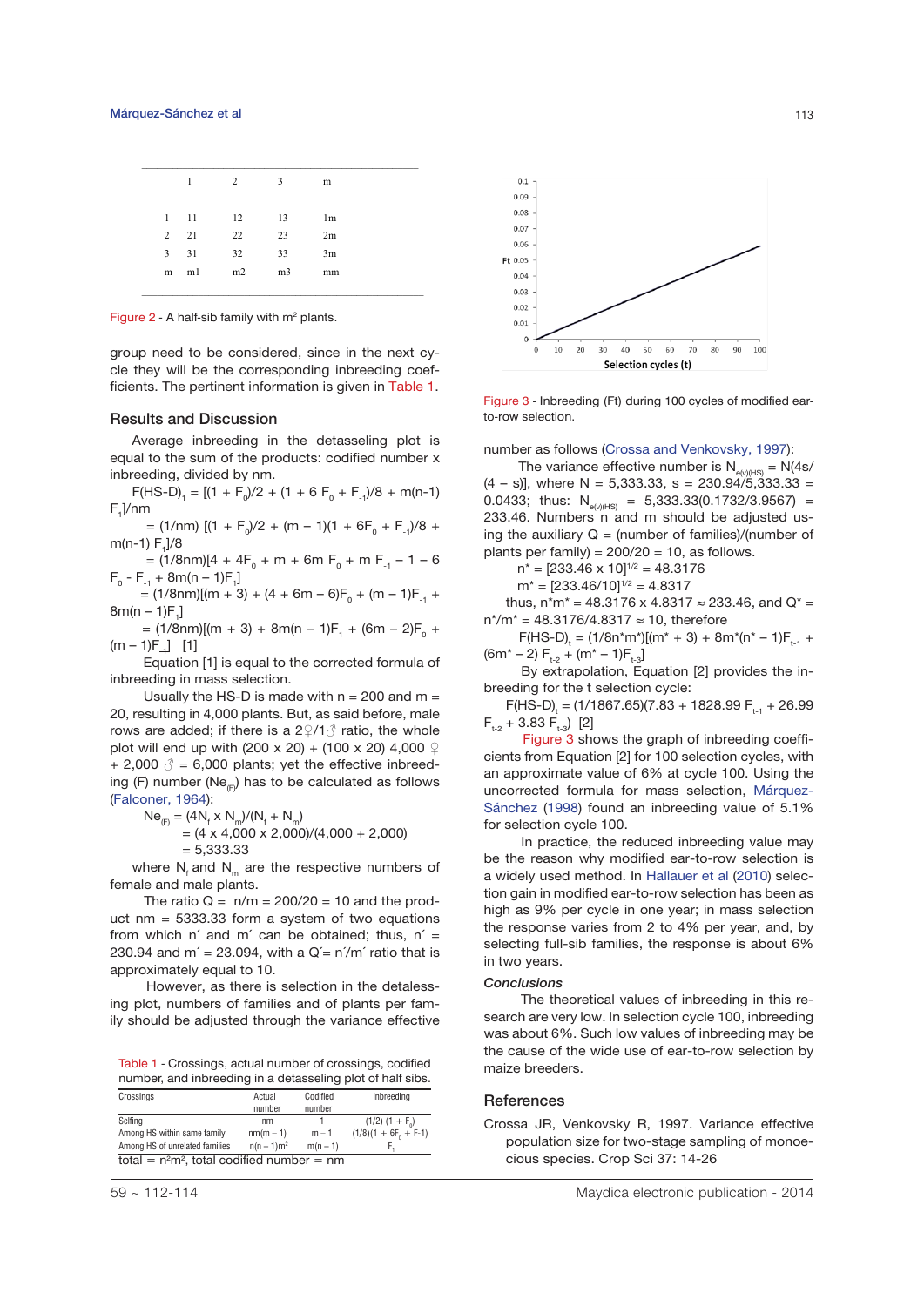|                |      | 2  | 3              | m              |  |
|----------------|------|----|----------------|----------------|--|
| 1              | 11   | 12 | 13             | 1 <sub>m</sub> |  |
| $\overline{2}$ | 21   | 22 | 23             | 2m             |  |
| $3^{\circ}$    | 31   | 32 | 33             | 3m             |  |
|                | m m1 | m2 | m <sub>3</sub> | mm             |  |

Figure  $2$  - A half-sib family with  $m<sup>2</sup>$  plants.

group need to be considered, since in the next cycle they will be the corresponding inbreeding coefficients. The pertinent information is given in Table 1.

### Results and Discussion

Average inbreeding in the detasseling plot is equal to the sum of the products: codified number x inbreeding, divided by nm.

 $F(HS-D)$ <sub>1</sub> = [(1 + F<sub>0</sub>)/2 + (1 + 6 F<sub>0</sub> + F<sub>-1</sub>)/8 + m(n-1)  $F_1$ ]/nm

 $=$  (1/nm)  $[(1 + F_0)/2 + (m - 1)(1 + 6F_0 + F_{-1})/8 +$ m(n-1) F<sub>1</sub>]/8

 $= (1/8$ nm)[4 + 4F<sub>0</sub> + m + 6m F<sub>0</sub> + m F<sub>-1</sub> - 1 - 6  $F_0 - F_{-1} + 8m(n - 1)F_1$ 

 $= (1/8$ nm)[(m + 3) + (4 + 6m – 6)F<sub>0</sub> + (m – 1)F<sub>-1</sub> +  $8m(n - 1)F_1$ 

 $= (1/8$ nm)[(m + 3) + 8m(n – 1)F<sub>1</sub> + (6m – 2)F<sub>0</sub> +  $(m - 1)F_{-1}$ ] [1]

 Equation [1] is equal to the corrected formula of inbreeding in mass selection.

Usually the HS-D is made with  $n = 200$  and  $m =$ 20, resulting in 4,000 plants. But, as said before, male rows are added; if there is a  $2\sqrt{2}/\sqrt{3}$  ratio, the whole plot will end up with (200 x 20) + (100 x 20) 4,000  $\sqrt{2}$ + 2,000  $\delta$  = 6,000 plants; yet the effective inbreeding (F) number (Ne<sub> $(F)$ </sub>) has to be calculated as follows (Falconer, 1964):

$$
Ne_{(F)} = (4N_{f} \times N_{m})/(N_{f} + N_{m})
$$
  
= (4 x 4,000 x 2,000)/(4,000 + 2,000)

 $= 5,333.33$ 

where  $N_t$  and  $N_m$  are the respective numbers of female and male plants.

The ratio  $Q = n/m = 200/20 = 10$  and the product  $nm = 5333.33$  form a system of two equations from which n' and m' can be obtained; thus,  $n' =$ 230.94 and m' = 23.094, with a  $Q' = n'/m'$  ratio that is approximately equal to 10.

 However, as there is selection in the detalessing plot, numbers of families and of plants per family should be adjusted through the variance effective

Table 1 - Crossings, actual number of crossings, codified<br>maize breeders number, and inbreeding in a detasseling plot of half sibs.

| Crossings                                   | Actual        | Codified   | Inbreeding             |  |  |  |  |  |
|---------------------------------------------|---------------|------------|------------------------|--|--|--|--|--|
|                                             | number        | number     |                        |  |  |  |  |  |
| Selfina                                     | nm            |            | $(1/2)$ $(1 + F0)$     |  |  |  |  |  |
| Among HS within same family                 | $nm(m-1)$     | $m - 1$    | $(1/8)(1 + 6F0 + F-1)$ |  |  |  |  |  |
| Among HS of unrelated families              | $n(n - 1)m^2$ | $m(n - 1)$ |                        |  |  |  |  |  |
| total = $n2m2$ , total codified number = nm |               |            |                        |  |  |  |  |  |



Figure 3 - Inbreeding (Ft) during 100 cycles of modified earto-row selection.

number as follows (Crossa and Venkovsky, 1997):

The variance effective number is  $N_{e^{(\lambda/\mu s)}} = N(4s/$  $(4 - s)$ , where N = 5,333.33, s = 230.94/5,333.33 = 0.0433; thus:  $N_{e(v)(HS)} = 5,333.33(0.1732/3.9567) =$ 233.46. Numbers n and m should be adjusted using the auxiliary  $Q = (number of families)/(number of$ plants per family) =  $200/20 = 10$ , as follows.

$$
n^* = [233.46 \times 10]^{1/2} = 48.3176
$$

$$
m^* = [233.46/10]^{1/2} = 4.8317
$$

thus,  $n^*m^* = 48.3176 \times 4.8317 \approx 233.46$ , and  $Q^* =$ n\*/m\* = 48.3176/4.8317 ≈ 10, therefore

 $F(HS-D)_{t} = (1/8n^{*}m^{*})[(m^{*}+3) + 8m^{*}(n^{*}-1)F_{t-1} +$  $(6m^* - 2) F_{t-2} + (m^* - 1)F_{t-2}$ 

 By extrapolation, Equation [2] provides the inbreeding for the t selection cycle:

 $F(HS-D)$ <sub>t</sub> = (1/1867.65)(7.83 + 1828.99  $F_{t-1}$  + 26.99  $F_{t-2}$  + 3.83  $F_{t-3}$ ) [2]

 Figure 3 shows the graph of inbreeding coefficients from Equation [2] for 100 selection cycles, with an approximate value of 6% at cycle 100. Using the uncorrected formula for mass selection, Márquez-Sánchez (1998) found an inbreeding value of 5.1% for selection cycle 100.

 In practice, the reduced inbreeding value may be the reason why modified ear-to-row selection is a widely used method. In Hallauer et al (2010) selection gain in modified ear-to-row selection has been as high as 9% per cycle in one year; in mass selection the response varies from 2 to 4% per year, and, by selecting full-sib families, the response is about 6% in two years.

#### *Conclusions*

 The theoretical values of inbreeding in this research are very low. In selection cycle 100, inbreeding was about 6%. Such low values of inbreeding may be the cause of the wide use of ear-to-row selection by

#### **References**

Crossa JR, Venkovsky R, 1997. Variance effective population size for two-stage sampling of monoecious species. Crop Sci 37: 14-26